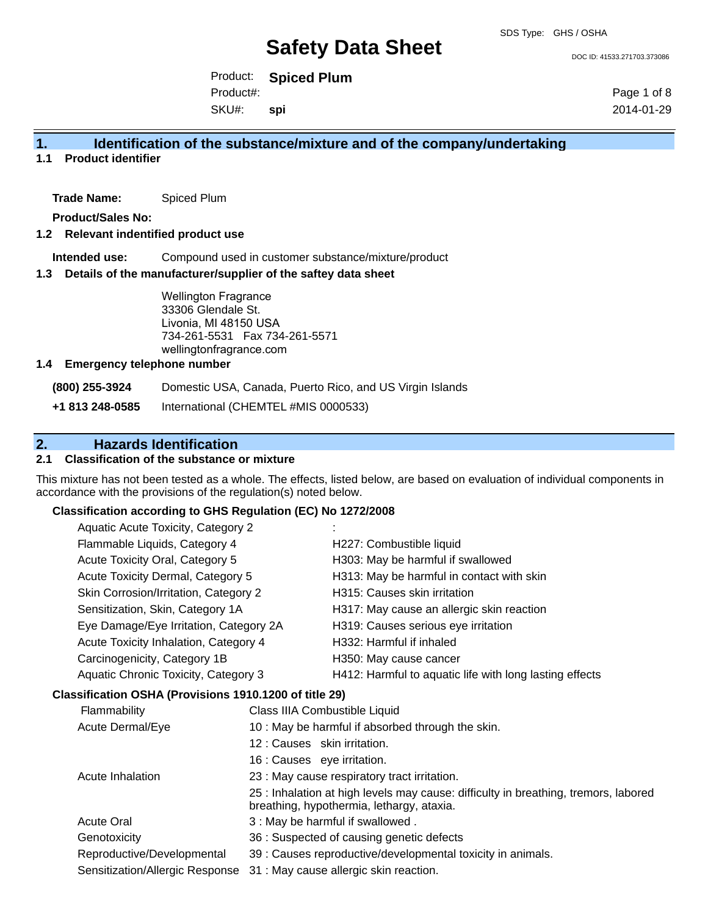DOC ID: 41533.271703.373086

Product: **Spiced Plum** SKU#: Product#: **spi**

Page 1 of 8 2014-01-29

## **1. Identification of the substance/mixture and of the company/undertaking**

**1.1 Product identifier**

**Trade Name:** Spiced Plum

**Product/Sales No:**

### **1.2 Relevant indentified product use**

**Intended use:** Compound used in customer substance/mixture/product

#### **1.3 Details of the manufacturer/supplier of the saftey data sheet**

Wellington Fragrance 33306 Glendale St. Livonia, MI 48150 USA 734-261-5531 Fax 734-261-5571 wellingtonfragrance.com

#### **1.4 Emergency telephone number**

**(800) 255-3924** Domestic USA, Canada, Puerto Rico, and US Virgin Islands

**+1 813 248-0585** International (CHEMTEL #MIS 0000533)

## **2. Hazards Identification**

### **2.1 Classification of the substance or mixture**

This mixture has not been tested as a whole. The effects, listed below, are based on evaluation of individual components in accordance with the provisions of the regulation(s) noted below.

### **Classification according to GHS Regulation (EC) No 1272/2008**

| Aquatic Acute Toxicity, Category 2                     |                                                   |                                                         |  |  |
|--------------------------------------------------------|---------------------------------------------------|---------------------------------------------------------|--|--|
| Flammable Liquids, Category 4                          |                                                   | H227: Combustible liquid                                |  |  |
| Acute Toxicity Oral, Category 5                        |                                                   | H303: May be harmful if swallowed                       |  |  |
| <b>Acute Toxicity Dermal, Category 5</b>               |                                                   | H313: May be harmful in contact with skin               |  |  |
| Skin Corrosion/Irritation, Category 2                  |                                                   | H315: Causes skin irritation                            |  |  |
| Sensitization, Skin, Category 1A                       |                                                   | H317: May cause an allergic skin reaction               |  |  |
| Eye Damage/Eye Irritation, Category 2A                 |                                                   | H319: Causes serious eye irritation                     |  |  |
| Acute Toxicity Inhalation, Category 4                  |                                                   | H332: Harmful if inhaled                                |  |  |
| Carcinogenicity, Category 1B                           |                                                   | H350: May cause cancer                                  |  |  |
| Aquatic Chronic Toxicity, Category 3                   |                                                   | H412: Harmful to aquatic life with long lasting effects |  |  |
| Classification OSHA (Provisions 1910.1200 of title 29) |                                                   |                                                         |  |  |
| Flammability                                           |                                                   | Class IIIA Combustible Liquid                           |  |  |
| Acute Dermal/Eye                                       | 10 : May be harmful if absorbed through the skin. |                                                         |  |  |
|                                                        | 12 : Causes skin irritation.                      |                                                         |  |  |

- 16 : Causes eye irritation.
- Acute Inhalation 23 : May cause respiratory tract irritation.
- 25 : Inhalation at high levels may cause: difficulty in breathing, tremors, labored breathing, hypothermia, lethargy, ataxia. Acute Oral 2012 13: May be harmful if swallowed .
- Genotoxicity 36 : Suspected of causing genetic defects
- Reproductive/Developmental 39 : Causes reproductive/developmental toxicity in animals.
- Sensitization/Allergic Response 31 : May cause allergic skin reaction.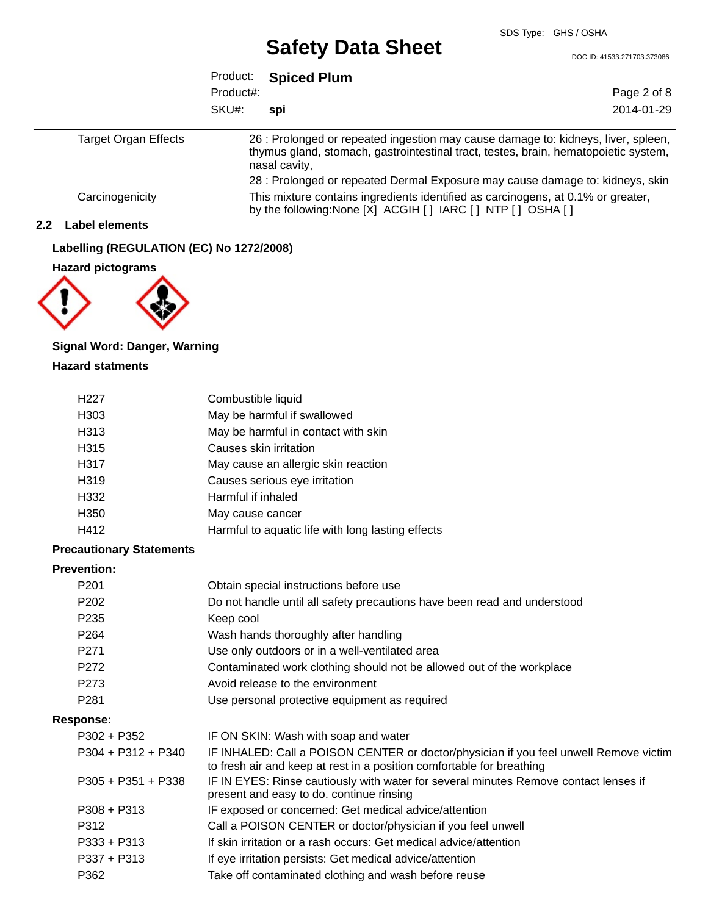DOC ID: 41533.271703.373086

|                             | Product:  | <b>Spiced Plum</b>                                                                                                                                                                        |             |
|-----------------------------|-----------|-------------------------------------------------------------------------------------------------------------------------------------------------------------------------------------------|-------------|
|                             | Product#: |                                                                                                                                                                                           | Page 2 of 8 |
|                             | SKU#:     | spi                                                                                                                                                                                       | 2014-01-29  |
| <b>Target Organ Effects</b> |           | 26 : Prolonged or repeated ingestion may cause damage to: kidneys, liver, spleen,<br>thymus gland, stomach, gastrointestinal tract, testes, brain, hematopoietic system,<br>nasal cavity, |             |
|                             |           | 28 : Prolonged or repeated Dermal Exposure may cause damage to: kidneys, skin                                                                                                             |             |
| Carcinogenicity             |           | This mixture contains ingredients identified as carcinogens, at 0.1% or greater,<br>by the following: None [X] ACGIH [ ] IARC [ ] NTP [ ] OSHA [ ]                                        |             |

### **2.2 Label elements**

## **Labelling (REGULATION (EC) No 1272/2008)**

**Hazard pictograms**



## **Signal Word: Danger, Warning**

### **Hazard statments**

| H <sub>22</sub> 7 | Combustible liquid                                |
|-------------------|---------------------------------------------------|
|                   |                                                   |
| H <sub>303</sub>  | May be harmful if swallowed                       |
| H313              | May be harmful in contact with skin               |
| H <sub>315</sub>  | Causes skin irritation                            |
| H317              | May cause an allergic skin reaction               |
| H319              | Causes serious eye irritation                     |
| H332              | Harmful if inhaled                                |
| H <sub>350</sub>  | May cause cancer                                  |
| H412              | Harmful to aquatic life with long lasting effects |
|                   |                                                   |

### **Precautionary Statements**

### **Prevention:**

| P <sub>201</sub>     | Obtain special instructions before use                                                                                                                         |
|----------------------|----------------------------------------------------------------------------------------------------------------------------------------------------------------|
| P <sub>202</sub>     | Do not handle until all safety precautions have been read and understood                                                                                       |
| P <sub>235</sub>     | Keep cool                                                                                                                                                      |
| P <sub>264</sub>     | Wash hands thoroughly after handling                                                                                                                           |
| P <sub>271</sub>     | Use only outdoors or in a well-ventilated area                                                                                                                 |
| P272                 | Contaminated work clothing should not be allowed out of the workplace                                                                                          |
| P273                 | Avoid release to the environment                                                                                                                               |
| P <sub>281</sub>     | Use personal protective equipment as required                                                                                                                  |
| Response:            |                                                                                                                                                                |
| P302 + P352          | IF ON SKIN: Wash with soap and water                                                                                                                           |
| $P304 + P312 + P340$ | IF INHALED: Call a POISON CENTER or doctor/physician if you feel unwell Remove victim<br>to fresh air and keep at rest in a position comfortable for breathing |
| $P305 + P351 + P338$ | IF IN EYES: Rinse cautiously with water for several minutes Remove contact lenses if<br>present and easy to do. continue rinsing                               |
| $P308 + P313$        | IF exposed or concerned: Get medical advice/attention                                                                                                          |
| P312                 | Call a POISON CENTER or doctor/physician if you feel unwell                                                                                                    |
| $P333 + P313$        | If skin irritation or a rash occurs: Get medical advice/attention                                                                                              |
| $P337 + P313$        | If eye irritation persists: Get medical advice/attention                                                                                                       |
| P362                 | Take off contaminated clothing and wash before reuse                                                                                                           |
|                      |                                                                                                                                                                |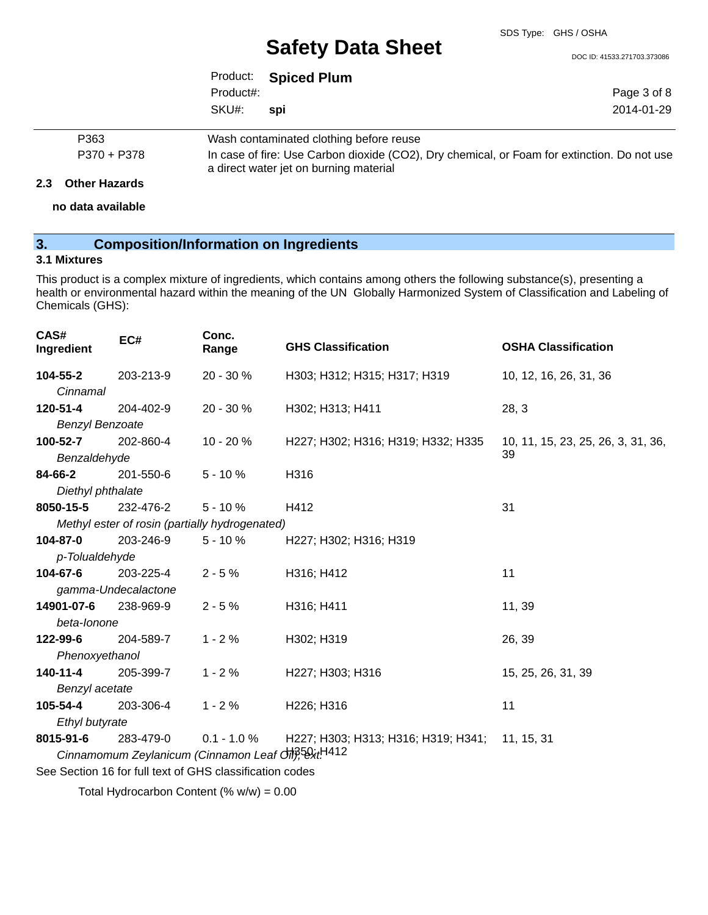DOC ID: 41533.271703.373086

| Page 3 of 8                 |
|-----------------------------|
| 2014-01-29                  |
| Product: Spiced Plum<br>spi |

| P363        | Wash contaminated clothing before reuse                                                     |
|-------------|---------------------------------------------------------------------------------------------|
| P370 + P378 | In case of fire: Use Carbon dioxide (CO2), Dry chemical, or Foam for extinction. Do not use |
|             | a direct water jet on burning material                                                      |

### **2.3 Other Hazards**

**no data available**

## **3. Composition/Information on Ingredients**

### **3.1 Mixtures**

This product is a complex mixture of ingredients, which contains among others the following substance(s), presenting a health or environmental hazard within the meaning of the UN Globally Harmonized System of Classification and Labeling of Chemicals (GHS):

| CAS#<br>Ingredient                                    | EC#                 | Conc.<br>Range                                           | <b>GHS Classification</b>                      | <b>OSHA Classification</b>         |
|-------------------------------------------------------|---------------------|----------------------------------------------------------|------------------------------------------------|------------------------------------|
| 104-55-2                                              | 203-213-9           | 20 - 30 %                                                | H303; H312; H315; H317; H319                   | 10, 12, 16, 26, 31, 36             |
| Cinnamal                                              |                     |                                                          |                                                |                                    |
| 120-51-4                                              | 204-402-9           | 20 - 30 %                                                | H302; H313; H411                               | 28, 3                              |
| <b>Benzyl Benzoate</b>                                |                     |                                                          |                                                |                                    |
| 100-52-7                                              | 202-860-4           | 10 - 20 %                                                | H227; H302; H316; H319; H332; H335             | 10, 11, 15, 23, 25, 26, 3, 31, 36, |
| Benzaldehyde                                          |                     |                                                          |                                                | 39                                 |
| 84-66-2                                               | 201-550-6           | $5 - 10%$                                                | H316                                           |                                    |
| Diethyl phthalate                                     |                     |                                                          |                                                |                                    |
| 8050-15-5                                             | 232-476-2           | $5 - 10%$                                                | H412                                           | 31                                 |
|                                                       |                     | Methyl ester of rosin (partially hydrogenated)           |                                                |                                    |
| 104-87-0                                              | 203-246-9           | $5 - 10%$                                                | H227; H302; H316; H319                         |                                    |
| p-Tolualdehyde                                        |                     |                                                          |                                                |                                    |
| 104-67-6                                              | 203-225-4           | $2 - 5%$                                                 | H316; H412                                     | 11                                 |
|                                                       | gamma-Undecalactone |                                                          |                                                |                                    |
| 14901-07-6                                            | 238-969-9           | $2 - 5%$                                                 | H316; H411                                     | 11, 39                             |
| beta-lonone                                           |                     |                                                          |                                                |                                    |
| 122-99-6                                              | 204-589-7           | $1 - 2%$                                                 | H302; H319                                     | 26, 39                             |
| Phenoxyethanol                                        |                     |                                                          |                                                |                                    |
| 140-11-4                                              | 205-399-7           | $1 - 2%$                                                 | H227; H303; H316                               | 15, 25, 26, 31, 39                 |
| Benzyl acetate                                        |                     |                                                          |                                                |                                    |
| 105-54-4                                              | 203-306-4           | $1 - 2%$                                                 | H226; H316                                     | 11                                 |
| Ethyl butyrate                                        |                     |                                                          |                                                |                                    |
| 8015-91-6                                             | 283-479-0           | $0.1 - 1.0 %$                                            | H227; H303; H313; H316; H319; H341; 11, 15, 31 |                                    |
| Cinnamomum Zeylanicum (Cinnamon Leaf Off), 58xt. 1412 |                     |                                                          |                                                |                                    |
|                                                       |                     | See Section 16 for full text of GHS classification codes |                                                |                                    |
|                                                       |                     |                                                          |                                                |                                    |

Total Hydrocarbon Content (% w/w) = 0.00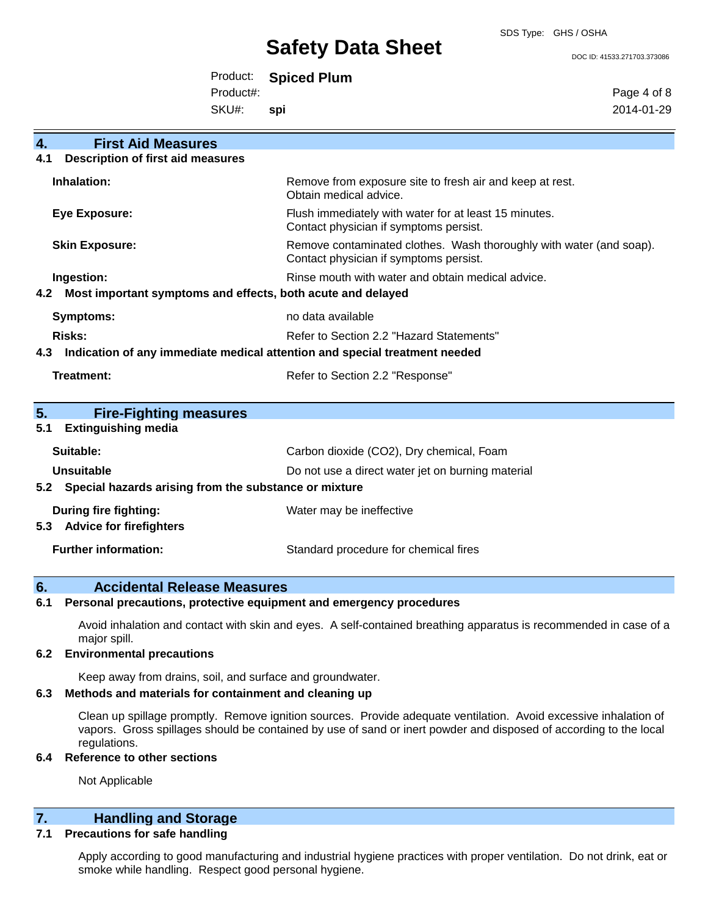SDS Type: GHS / OSHA

DOC ID: 41533.271703.373086

| Product: | <b>Spiced Plum</b> |  |
|----------|--------------------|--|
|----------|--------------------|--|

Product#:

SKU#: **spi** Page 4 of 8 2014-01-29

| 4.                                                                         | <b>First Aid Measures</b>                                   |                                                                                                               |  |  |
|----------------------------------------------------------------------------|-------------------------------------------------------------|---------------------------------------------------------------------------------------------------------------|--|--|
| 4.1                                                                        | <b>Description of first aid measures</b>                    |                                                                                                               |  |  |
|                                                                            | Inhalation:                                                 | Remove from exposure site to fresh air and keep at rest.<br>Obtain medical advice.                            |  |  |
|                                                                            | Eye Exposure:                                               | Flush immediately with water for at least 15 minutes.<br>Contact physician if symptoms persist.               |  |  |
|                                                                            | <b>Skin Exposure:</b>                                       | Remove contaminated clothes. Wash thoroughly with water (and soap).<br>Contact physician if symptoms persist. |  |  |
|                                                                            | Ingestion:                                                  | Rinse mouth with water and obtain medical advice.                                                             |  |  |
| 4.2                                                                        | Most important symptoms and effects, both acute and delayed |                                                                                                               |  |  |
|                                                                            | <b>Symptoms:</b>                                            | no data available                                                                                             |  |  |
| <b>Risks:</b>                                                              |                                                             | Refer to Section 2.2 "Hazard Statements"                                                                      |  |  |
| Indication of any immediate medical attention and special treatment needed |                                                             |                                                                                                               |  |  |
| 4.3                                                                        |                                                             |                                                                                                               |  |  |
|                                                                            | Treatment:                                                  | Refer to Section 2.2 "Response"                                                                               |  |  |
| 5.                                                                         | <b>Fire-Fighting measures</b>                               |                                                                                                               |  |  |
| 5.1                                                                        | <b>Extinguishing media</b>                                  |                                                                                                               |  |  |
|                                                                            | Suitable:                                                   | Carbon dioxide (CO2), Dry chemical, Foam                                                                      |  |  |
|                                                                            | <b>Unsuitable</b>                                           | Do not use a direct water jet on burning material                                                             |  |  |
|                                                                            | 5.2 Special hazards arising from the substance or mixture   |                                                                                                               |  |  |
|                                                                            | <b>During fire fighting:</b>                                | Water may be ineffective                                                                                      |  |  |
|                                                                            | 5.3 Advice for firefighters                                 |                                                                                                               |  |  |

### **6. Accidental Release Measures**

**6.1 Personal precautions, protective equipment and emergency procedures**

Avoid inhalation and contact with skin and eyes. A self-contained breathing apparatus is recommended in case of a major spill.

### **6.2 Environmental precautions**

Keep away from drains, soil, and surface and groundwater.

### **6.3 Methods and materials for containment and cleaning up**

Clean up spillage promptly. Remove ignition sources. Provide adequate ventilation. Avoid excessive inhalation of vapors. Gross spillages should be contained by use of sand or inert powder and disposed of according to the local regulations.

#### **6.4 Reference to other sections**

Not Applicable

### **7. Handling and Storage**

### **7.1 Precautions for safe handling**

Apply according to good manufacturing and industrial hygiene practices with proper ventilation. Do not drink, eat or smoke while handling. Respect good personal hygiene.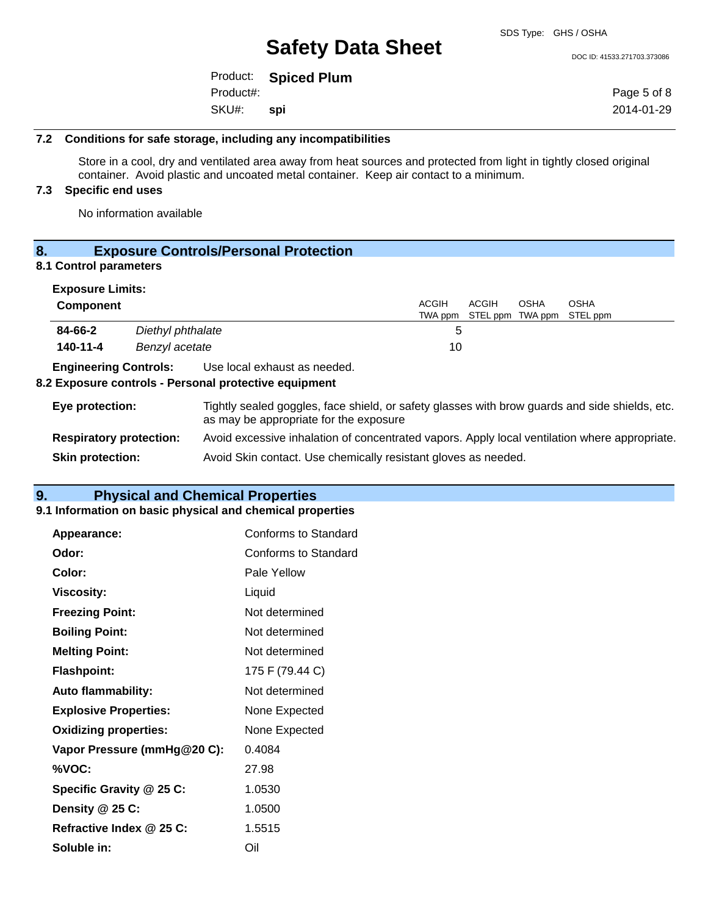DOC ID: 41533.271703.373086

|           | Product: Spiced Plum |  |
|-----------|----------------------|--|
| Product#: |                      |  |
| SKU#:     | – spi                |  |

Page 5 of 8 2014-01-29

#### **7.2 Conditions for safe storage, including any incompatibilities**

Store in a cool, dry and ventilated area away from heat sources and protected from light in tightly closed original container. Avoid plastic and uncoated metal container. Keep air contact to a minimum.

### **7.3 Specific end uses**

No information available

## **8. Exposure Controls/Personal Protection**

### **8.1 Control parameters**

| <b>Exposure Limits:</b>        |                   |                                                                                                                                          |                  |                           |             |                  |
|--------------------------------|-------------------|------------------------------------------------------------------------------------------------------------------------------------------|------------------|---------------------------|-------------|------------------|
| <b>Component</b>               |                   |                                                                                                                                          | ACGIH<br>TWA ppm | ACGIH<br>STEL ppm TWA ppm | <b>OSHA</b> | OSHA<br>STEL ppm |
| 84-66-2                        | Diethyl phthalate |                                                                                                                                          | 5                |                           |             |                  |
| 140-11-4                       | Benzyl acetate    |                                                                                                                                          | 10               |                           |             |                  |
| <b>Engineering Controls:</b>   |                   | Use local exhaust as needed.<br>8.2 Exposure controls - Personal protective equipment                                                    |                  |                           |             |                  |
| Eye protection:                |                   | Tightly sealed goggles, face shield, or safety glasses with brow guards and side shields, etc.<br>as may be appropriate for the exposure |                  |                           |             |                  |
| <b>Respiratory protection:</b> |                   | Avoid excessive inhalation of concentrated vapors. Apply local ventilation where appropriate.                                            |                  |                           |             |                  |
| <b>Skin protection:</b>        |                   | Avoid Skin contact. Use chemically resistant gloves as needed.                                                                           |                  |                           |             |                  |

## **9. Physical and Chemical Properties**

### **9.1 Information on basic physical and chemical properties**

| <b>Appearance:</b>           | Conforms to Standard |
|------------------------------|----------------------|
| Odor:                        | Conforms to Standard |
| Color:                       | Pale Yellow          |
| <b>Viscosity:</b>            | Liquid               |
| <b>Freezing Point:</b>       | Not determined       |
| <b>Boiling Point:</b>        | Not determined       |
| <b>Melting Point:</b>        | Not determined       |
| <b>Flashpoint:</b>           | 175 F (79.44 C)      |
| <b>Auto flammability:</b>    | Not determined       |
| <b>Explosive Properties:</b> | None Expected        |
| <b>Oxidizing properties:</b> | None Expected        |
| Vapor Pressure (mmHg@20 C):  | 0.4084               |
| %VOC:                        | 27.98                |
| Specific Gravity @ 25 C:     | 1.0530               |
| Density @ 25 C:              | 1.0500               |
| Refractive Index @ 25 C:     | 1.5515               |
| Soluble in:                  | Oil                  |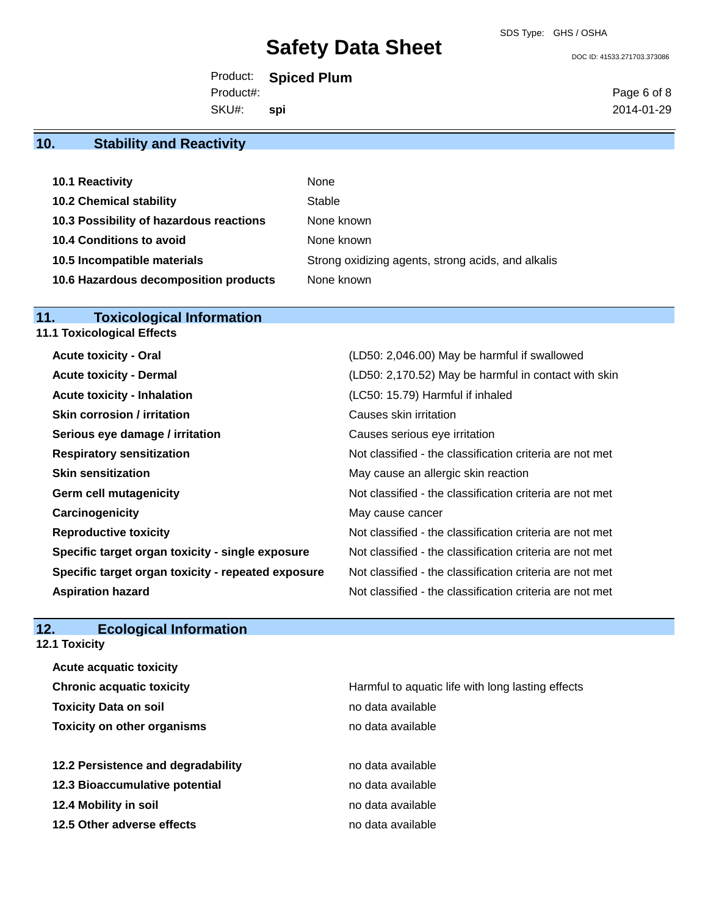SDS Type: GHS / OSHA

#### DOC ID: 41533.271703.373086

Product: **Spiced Plum**

Product#:

SKU#: **spi** Page 6 of 8 2014-01-29

## **10. Stability and Reactivity**

| 10.1 Reactivity                         | None                                               |
|-----------------------------------------|----------------------------------------------------|
| <b>10.2 Chemical stability</b>          | Stable                                             |
| 10.3 Possibility of hazardous reactions | None known                                         |
| 10.4 Conditions to avoid                | None known                                         |
| 10.5 Incompatible materials             | Strong oxidizing agents, strong acids, and alkalis |
| 10.6 Hazardous decomposition products   | None known                                         |

### **11. Toxicological Information 11.1 Toxicological Effects**

| (LD50: 2,046.00) May be harmful if swallowed             |
|----------------------------------------------------------|
| (LD50: 2,170.52) May be harmful in contact with skin     |
| (LC50: 15.79) Harmful if inhaled                         |
| Causes skin irritation                                   |
| Causes serious eye irritation                            |
| Not classified - the classification criteria are not met |
| May cause an allergic skin reaction                      |
| Not classified - the classification criteria are not met |
| May cause cancer                                         |
| Not classified - the classification criteria are not met |
| Not classified - the classification criteria are not met |
| Not classified - the classification criteria are not met |
| Not classified - the classification criteria are not met |
|                                                          |

## **12. Ecological Information**

**12.1 Toxicity**

| <b>Acute acquatic toxicity</b>     |                                                   |
|------------------------------------|---------------------------------------------------|
| <b>Chronic acquatic toxicity</b>   | Harmful to aquatic life with long lasting effects |
| <b>Toxicity Data on soil</b>       | no data available                                 |
| <b>Toxicity on other organisms</b> | no data available                                 |
|                                    |                                                   |
| 12.2 Persistence and degradability | no data available                                 |
| 12.3 Bioaccumulative potential     | no data available                                 |
| 12.4 Mobility in soil              | no data available                                 |
| 12.5 Other adverse effects         | no data available                                 |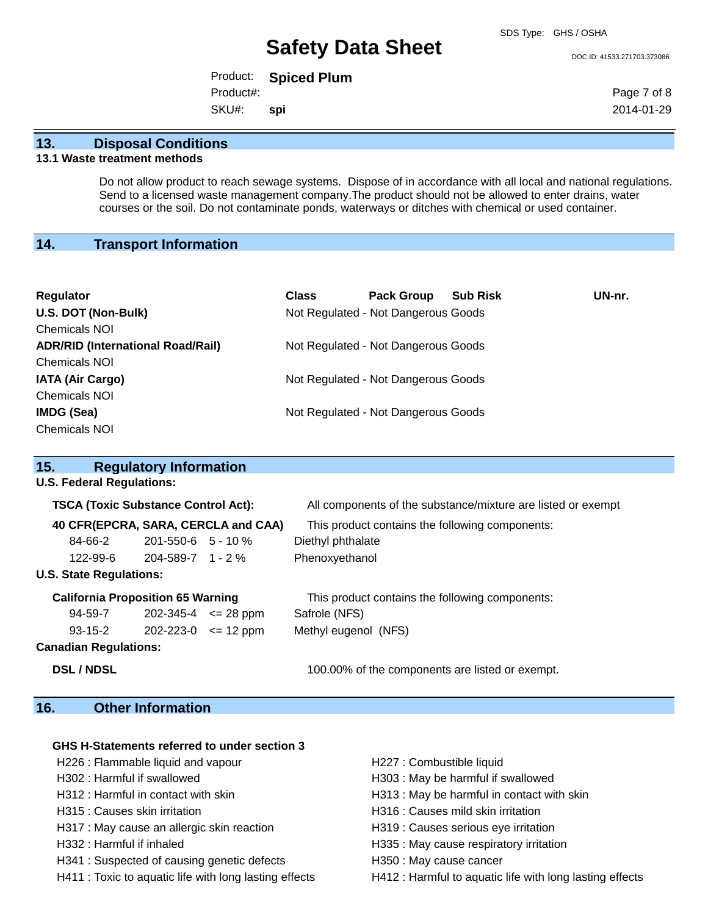#### DOC ID: 41533.271703.373086

Product: **Spiced Plum**

Product#:

SKU#: **spi** Page 7 of 8 2014-01-29

### **13. Disposal Conditions**

### **13.1 Waste treatment methods**

Do not allow product to reach sewage systems. Dispose of in accordance with all local and national regulations. Send to a licensed waste management company.The product should not be allowed to enter drains, water courses or the soil. Do not contaminate ponds, waterways or ditches with chemical or used container.

## **14. Transport Information**

| <b>Regulator</b><br>U.S. DOT (Non-Bulk)<br><b>Chemicals NOI</b>  | <b>Class</b> | <b>Pack Group</b><br>Not Regulated - Not Dangerous Goods | <b>Sub Risk</b> | UN-nr. |
|------------------------------------------------------------------|--------------|----------------------------------------------------------|-----------------|--------|
| <b>ADR/RID (International Road/Rail)</b><br><b>Chemicals NOI</b> |              | Not Regulated - Not Dangerous Goods                      |                 |        |
| <b>IATA (Air Cargo)</b><br><b>Chemicals NOI</b>                  |              | Not Regulated - Not Dangerous Goods                      |                 |        |
| IMDG (Sea)<br><b>Chemicals NOI</b>                               |              | Not Regulated - Not Dangerous Goods                      |                 |        |

| 15.                                        | <b>Regulatory Information</b> |                     |                                                              |  |
|--------------------------------------------|-------------------------------|---------------------|--------------------------------------------------------------|--|
| <b>U.S. Federal Regulations:</b>           |                               |                     |                                                              |  |
| <b>TSCA (Toxic Substance Control Act):</b> |                               |                     | All components of the substance/mixture are listed or exempt |  |
| 40 CFR(EPCRA, SARA, CERCLA and CAA)        |                               |                     | This product contains the following components:              |  |
| 84-66-2                                    | $201 - 550 - 6$ 5 - 10 %      |                     | Diethyl phthalate                                            |  |
| 122-99-6                                   | $204 - 589 - 7$ 1 - 2 %       |                     | Phenoxyethanol                                               |  |
| <b>U.S. State Regulations:</b>             |                               |                     |                                                              |  |
| <b>California Proposition 65 Warning</b>   |                               |                     | This product contains the following components:              |  |
| 94-59-7                                    | 202-345-4                     | $\epsilon$ = 28 ppm | Safrole (NFS)                                                |  |
| $93 - 15 - 2$                              | 202-223-0                     | $\leq$ 12 ppm       | Methyl eugenol (NFS)                                         |  |

**Canadian Regulations:**

**DSL / NDSL** 100.00% of the components are listed or exempt.

## **16. Other Information**

### **GHS H-Statements referred to under section 3**

- H226 : Flammable liquid and vapour **H227** : Combustible liquid
- 
- 
- 
- H317 : May cause an allergic skin reaction H319 : Causes serious eye irritation
- 
- H341 : Suspected of causing genetic defects **H350** : May cause cancer
- 
- 
- H302 : Harmful if swallowed **H303** : May be harmful if swallowed
- H312 : Harmful in contact with skin **H313** : May be harmful in contact with skin
- H315 : Causes skin irritation H316 : Causes mild skin irritation
	-
- H332 : Harmful if inhaled **H**335 : May cause respiratory irritation
	-
- H411 : Toxic to aquatic life with long lasting effects H412 : Harmful to aquatic life with long lasting effects